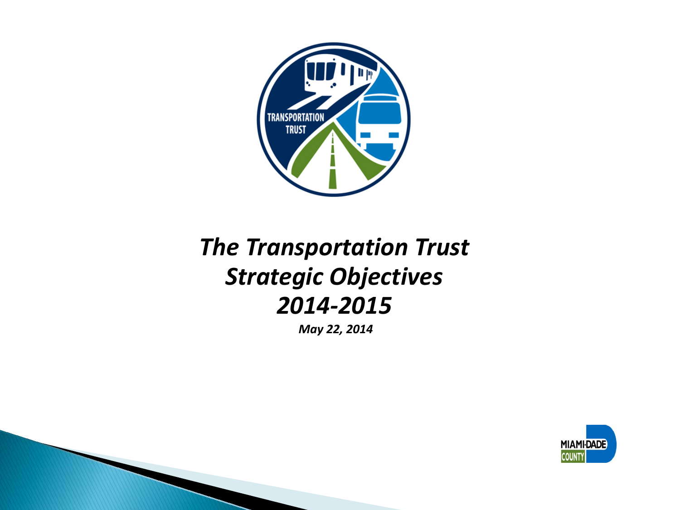

# *The Transportation Trust Strategic Objectives 2014-2015*

*May 22, 2014*

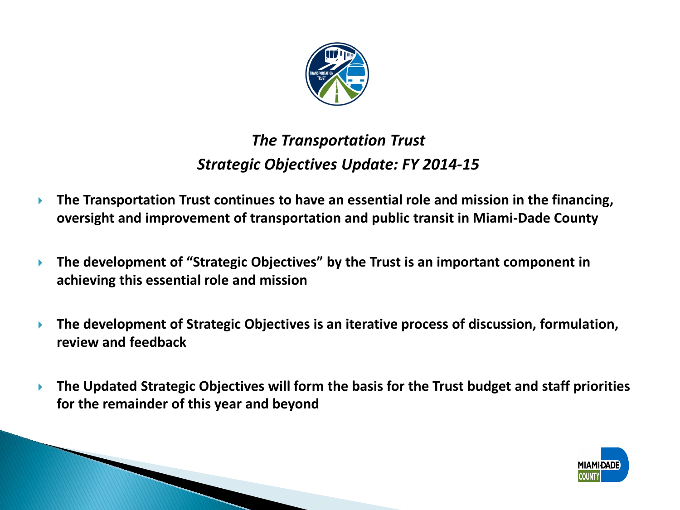

# *The Transportation Trust Strategic Objectives Update: FY 2014-15*

- **The Transportation Trust continues to have an essential role and mission in the financing, oversight and improvement of transportation and public transit in Miami-Dade County**
- **The development of "Strategic Objectives" by the Trust is an important component in achieving this essential role and mission**
- **The development of Strategic Objectives is an iterative process of discussion, formulation, review and feedback**
- **The Updated Strategic Objectives will form the basis for the Trust budget and staff priorities for the remainder of this year and beyond**

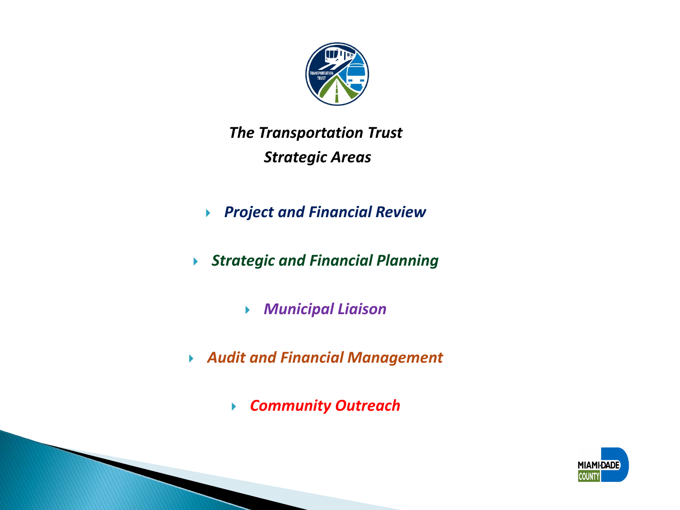

# *The Transportation Trust Strategic Areas*

- *Project and Financial Review*
- *Strategic and Financial Planning*
	- *Municipal Liaison*
- *Audit and Financial Management*
	- *Community Outreach*

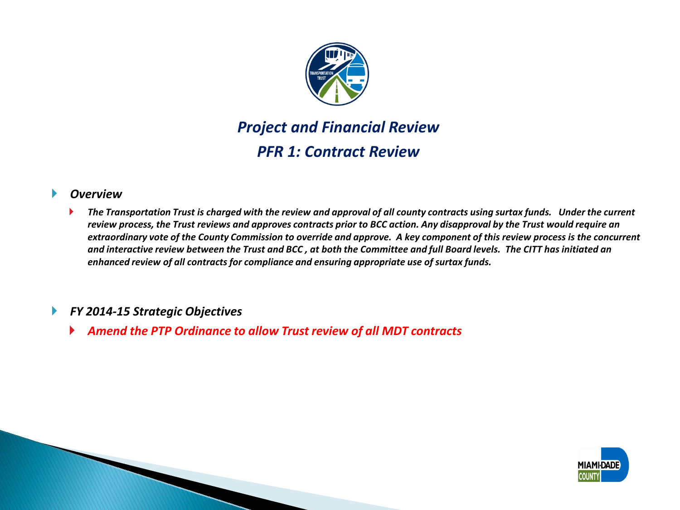

### *Project and Financial Review PFR 1: Contract Review*

#### *Overview*

 *The Transportation Trust is charged with the review and approval of all county contracts using surtax funds. Under the current review process, the Trust reviews and approves contracts prior to BCC action. Any disapproval by the Trust would require an extraordinary vote of the County Commission to override and approve. A key component of this review process is the concurrent and interactive review between the Trust and BCC , at both the Committee and full Board levels. The CITT has initiated an enhanced review of all contracts for compliance and ensuring appropriate use of surtax funds.*

### *FY 2014-15 Strategic Objectives*

*Amend the PTP Ordinance to allow Trust review of all MDT contracts*

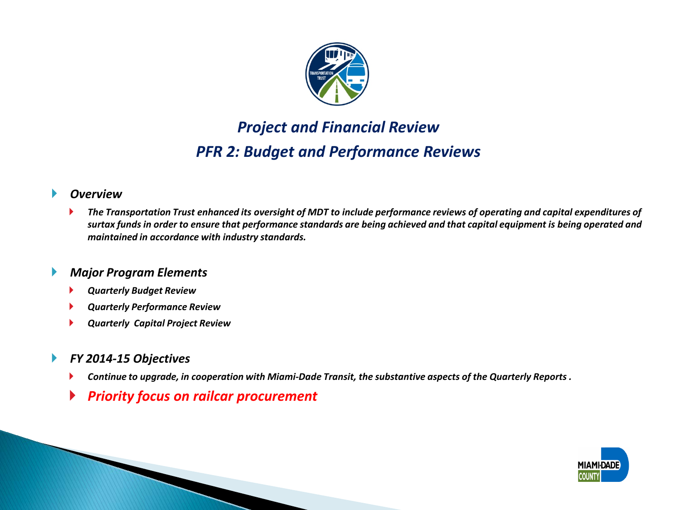

## *Project and Financial Review PFR 2: Budget and Performance Reviews*

### *Overview*

 *The Transportation Trust enhanced its oversight of MDT to include performance reviews of operating and capital expenditures of surtax funds in order to ensure that performance standards are being achieved and that capital equipment is being operated and maintained in accordance with industry standards.* 

#### *Major Program Elements*

- *Quarterly Budget Review*
- *Quarterly Performance Review*
- *Quarterly Capital Project Review*

### *FY 2014-15 Objectives*

- *Continue to upgrade, in cooperation with Miami-Dade Transit, the substantive aspects of the Quarterly Reports .*
- *Priority focus on railcar procurement*

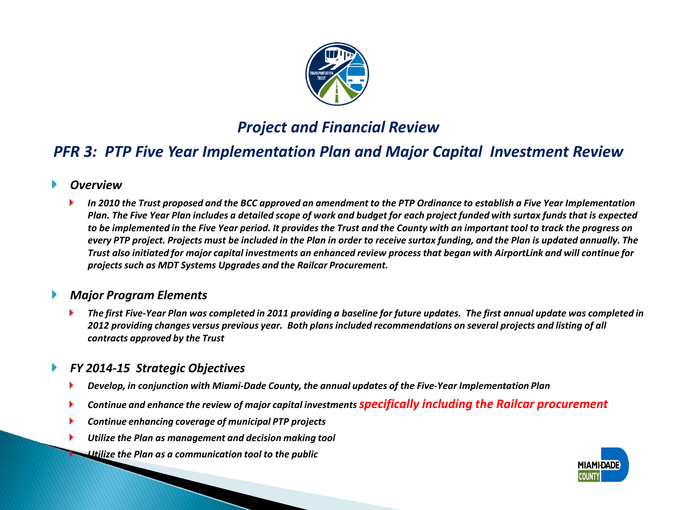

### *Project and Financial Review*

### *PFR 3: PTP Five Year Implementation Plan and Major Capital Investment Review*

#### *Overview*

 *In 2010 the Trust proposed and the BCC approved an amendment to the PTP Ordinance to establish a Five Year Implementation Plan. The Five Year Plan includes a detailed scope of work and budget for each project funded with surtax funds that is expected to be implemented in the Five Year period. It provides the Trust and the County with an important tool to track the progress on every PTP project. Projects must be included in the Plan in order to receive surtax funding, and the Plan is updated annually. The Trust also initiated for major capital investments an enhanced review process that began with AirportLink and will continue for projects such as MDT Systems Upgrades and the Railcar Procurement.*

### *Major Program Elements*

 *The first Five-Year Plan was completed in 2011 providing a baseline for future updates. The first annual update was completed in 2012 providing changes versus previous year. Both plans included recommendations on several projects and listing of all contracts approved by the Trust*

- *Develop, in conjunction with Miami-Dade County, the annual updates of the Five-Year Implementation Plan*
- *Continue and enhance the review of major capital investments specifically including the Railcar procurement*
- *Continue enhancing coverage of municipal PTP projects*
- *Utilize the Plan as management and decision making tool*
	- *Utilize the Plan as a communication tool to the public*

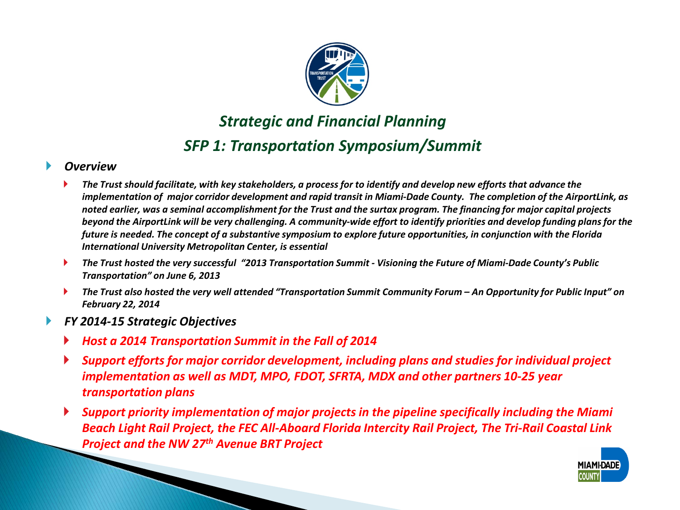

## *Strategic and Financial Planning SFP 1: Transportation Symposium/Summit*

### *Overview*

- *The Trust should facilitate, with key stakeholders, a process for to identify and develop new efforts that advance the implementation of major corridor development and rapid transit in Miami-Dade County. The completion of the AirportLink, as noted earlier, was a seminal accomplishment for the Trust and the surtax program. The financing for major capital projects beyond the AirportLink will be very challenging. A community-wide effort to identify priorities and develop funding plans for the future is needed. The concept of a substantive symposium to explore future opportunities, in conjunction with the Florida International University Metropolitan Center, is essential*
- *The Trust hosted the very successful "2013 Transportation Summit - Visioning the Future of Miami-Dade County's Public Transportation" on June 6, 2013*
- *The Trust also hosted the very well attended "Transportation Summit Community Forum – An Opportunity for Public Input" on February 22, 2014*
- *FY 2014-15 Strategic Objectives*
	- *Host a 2014 Transportation Summit in the Fall of 2014*
	- *Support efforts for major corridor development, including plans and studies for individual project implementation as well as MDT, MPO, FDOT, SFRTA, MDX and other partners 10-25 year transportation plans*
	- *Support priority implementation of major projects in the pipeline specifically including the Miami Beach Light Rail Project, the FEC All-Aboard Florida Intercity Rail Project, The Tri-Rail Coastal Link Project and the NW 27th Avenue BRT Project*

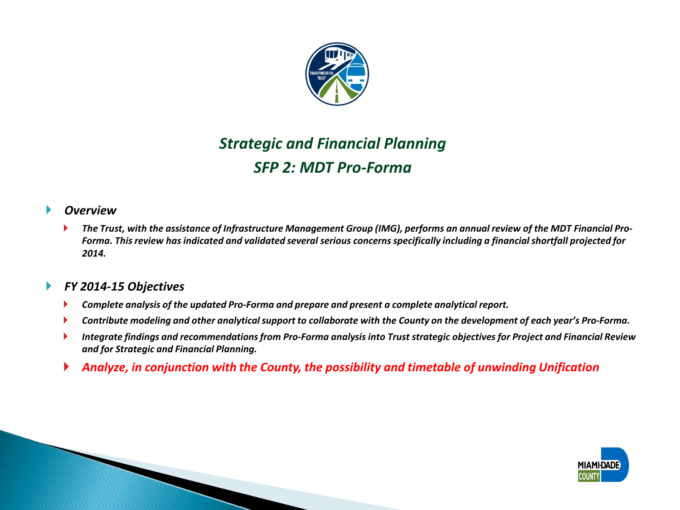

### *Strategic and Financial Planning SFP 2: MDT Pro-Forma*

### *Overview*

 *The Trust, with the assistance of Infrastructure Management Group (IMG), performs an annual review of the MDT Financial Pro-Forma. This review has indicated and validated several serious concerns specifically including a financial shortfall projected for 2014.*

### *FY 2014-15 Objectives*

- *Complete analysis of the updated Pro-Forma and prepare and present a complete analytical report.*
- *Contribute modeling and other analytical support to collaborate with the County on the development of each year's Pro-Forma.*
- *Integrate findings and recommendations from Pro-Forma analysis into Trust strategic objectives for Project and Financial Review and for Strategic and Financial Planning.*
- *Analyze, in conjunction with the County, the possibility and timetable of unwinding Unification*

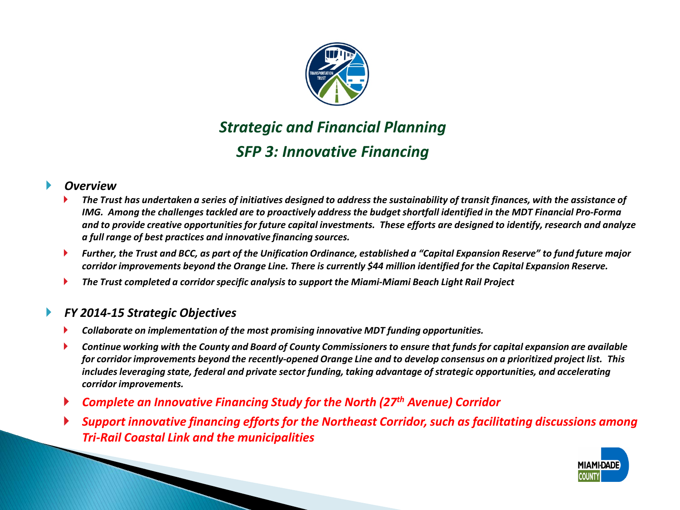

### *Strategic and Financial Planning SFP 3: Innovative Financing*

#### *Overview*

- *The Trust has undertaken a series of initiatives designed to address the sustainability of transit finances, with the assistance of IMG. Among the challenges tackled are to proactively address the budget shortfall identified in the MDT Financial Pro-Forma and to provide creative opportunities for future capital investments. These efforts are designed to identify, research and analyze a full range of best practices and innovative financing sources.*
- *Further, the Trust and BCC, as part of the Unification Ordinance, established a "Capital Expansion Reserve" to fund future major corridor improvements beyond the Orange Line. There is currently \$44 million identified for the Capital Expansion Reserve.*
- *The Trust completed a corridor specific analysis to support the Miami-Miami Beach Light Rail Project*

- *Collaborate on implementation of the most promising innovative MDT funding opportunities.*
- *Continue working with the County and Board of County Commissioners to ensure that funds for capital expansion are available for corridor improvements beyond the recently-opened Orange Line and to develop consensus on a prioritized project list. This includes leveraging state, federal and private sector funding, taking advantage of strategic opportunities, and accelerating corridor improvements.*
- *Complete an Innovative Financing Study for the North (27th Avenue) Corridor*
- *Support innovative financing efforts for the Northeast Corridor, such as facilitating discussions among Tri-Rail Coastal Link and the municipalities*

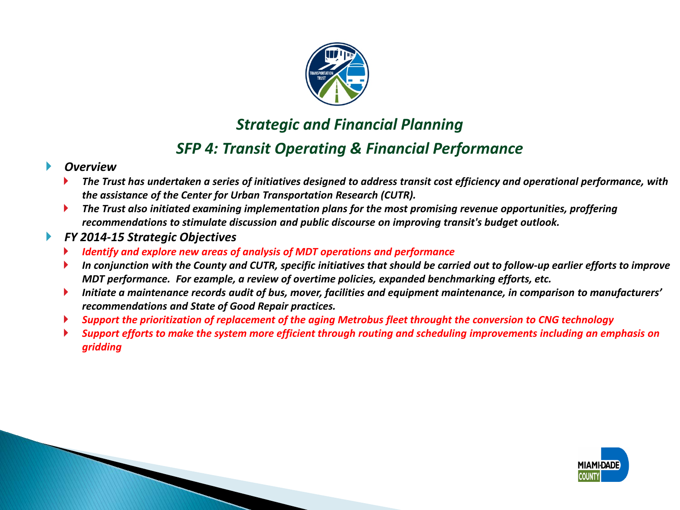

### *Strategic and Financial Planning*

### *SFP 4: Transit Operating & Financial Performance*

### *Overview*

- *The Trust has undertaken a series of initiatives designed to address transit cost efficiency and operational performance, with the assistance of the Center for Urban Transportation Research (CUTR).*
- *The Trust also initiated examining implementation plans for the most promising revenue opportunities, proffering recommendations to stimulate discussion and public discourse on improving transit's budget outlook.*

- *Identify and explore new areas of analysis of MDT operations and performance*
- *In conjunction with the County and CUTR, specific initiatives that should be carried out to follow-up earlier efforts to improve MDT performance. For ezample, a review of overtime policies, expanded benchmarking efforts, etc.*
- *Initiate a maintenance records audit of bus, mover, facilities and equipment maintenance, in comparison to manufacturers' recommendations and State of Good Repair practices.*
- *Support the prioritization of replacement of the aging Metrobus fleet throught the conversion to CNG technology*
- *Support efforts to make the system more efficient through routing and scheduling improvements including an emphasis on gridding*

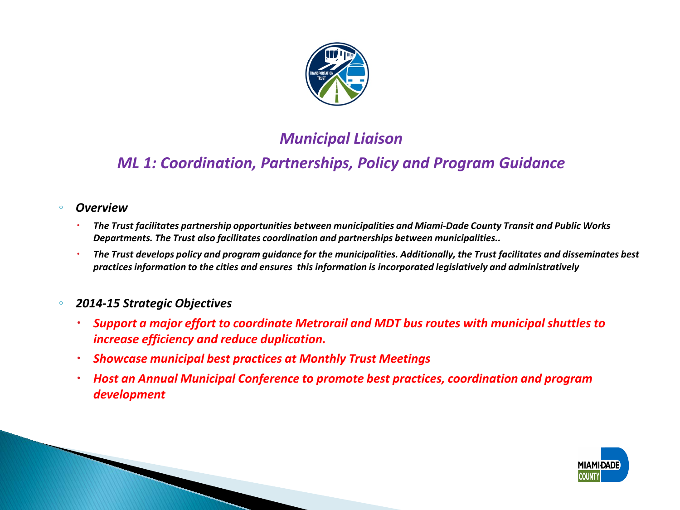

### *Municipal Liaison*

### *ML 1: Coordination, Partnerships, Policy and Program Guidance*

- *Overview*
	- *The Trust facilitates partnership opportunities between municipalities and Miami-Dade County Transit and Public Works Departments. The Trust also facilitates coordination and partnerships between municipalities..*
	- *The Trust develops policy and program guidance for the municipalities. Additionally, the Trust facilitates and disseminates best practices information to the cities and ensures this information is incorporated legislatively and administratively*
- *2014-15 Strategic Objectives*
	- *Support a major effort to coordinate Metrorail and MDT bus routes with municipal shuttles to increase efficiency and reduce duplication.*
	- *Showcase municipal best practices at Monthly Trust Meetings*
	- *Host an Annual Municipal Conference to promote best practices, coordination and program development*

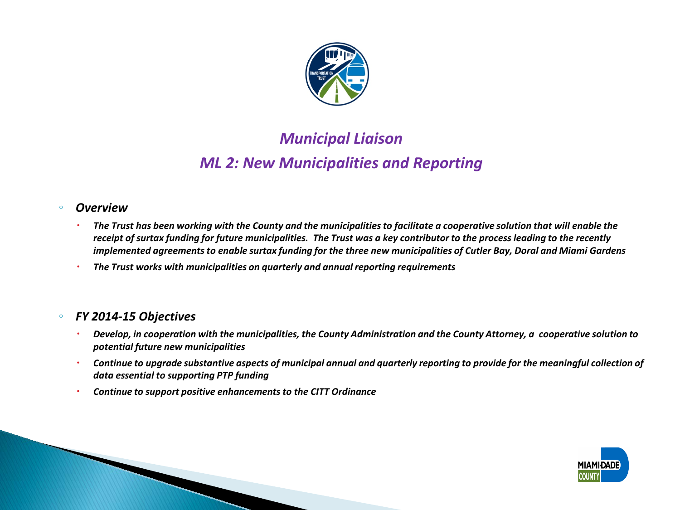

### *Municipal Liaison ML 2: New Municipalities and Reporting*

#### ◦ *Overview*

- *The Trust has been working with the County and the municipalities to facilitate a cooperative solution that will enable the receipt of surtax funding for future municipalities. The Trust was a key contributor to the process leading to the recently implemented agreements to enable surtax funding for the three new municipalities of Cutler Bay, Doral and Miami Gardens*
- *The Trust works with municipalities on quarterly and annual reporting requirements*

### ◦ *FY 2014-15 Objectives*

- *Develop, in cooperation with the municipalities, the County Administration and the County Attorney, a cooperative solution to potential future new municipalities*
- *Continue to upgrade substantive aspects of municipal annual and quarterly reporting to provide for the meaningful collection of data essential to supporting PTP funding*
- *Continue to support positive enhancements to the CITT Ordinance*

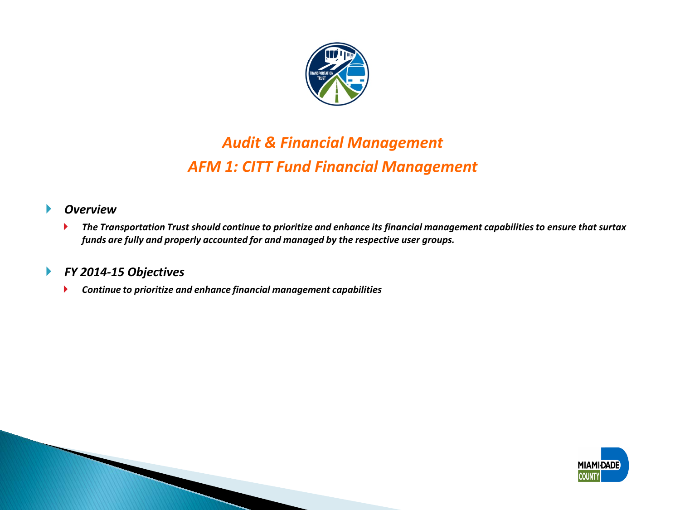

### *Audit & Financial Management AFM 1: CITT Fund Financial Management*

### *Overview*

 *The Transportation Trust should continue to prioritize and enhance its financial management capabilities to ensure that surtax funds are fully and properly accounted for and managed by the respective user groups.* 

### *FY 2014-15 Objectives*

*Continue to prioritize and enhance financial management capabilities*

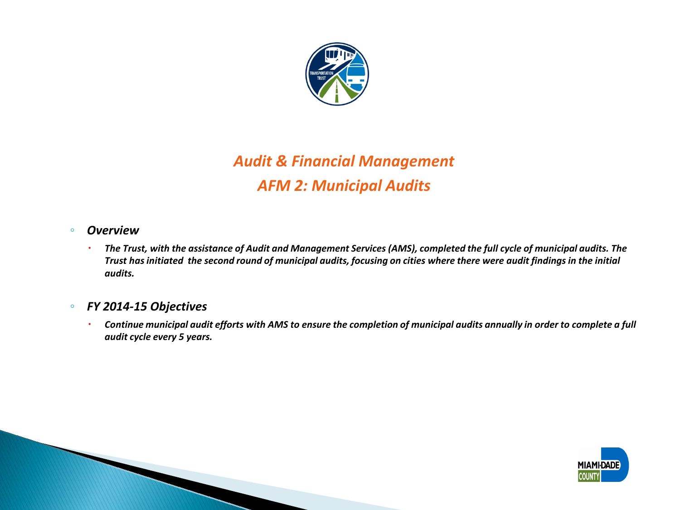

# *Audit & Financial Management AFM 2: Municipal Audits*

#### ◦ *Overview*

 *The Trust, with the assistance of Audit and Management Services (AMS), completed the full cycle of municipal audits. The Trust has initiated the second round of municipal audits, focusing on cities where there were audit findings in the initial audits.*

#### ◦ *FY 2014-15 Objectives*

 *Continue municipal audit efforts with AMS to ensure the completion of municipal audits annually in order to complete a full audit cycle every 5 years.*

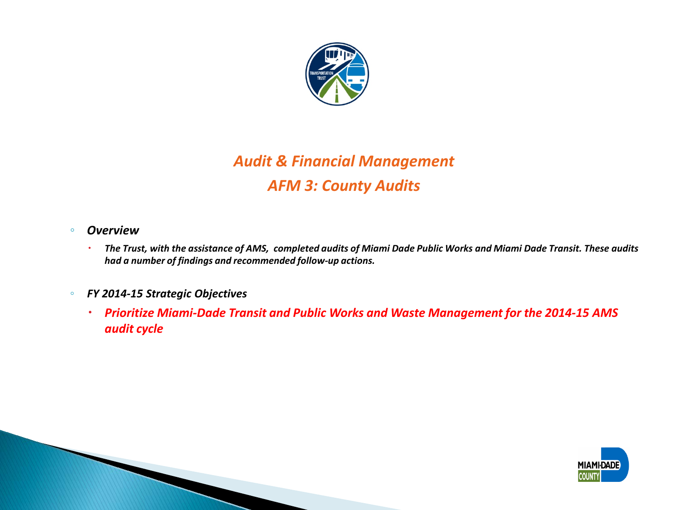

# *Audit & Financial Management AFM 3: County Audits*

- *Overview*
	- *The Trust, with the assistance of AMS, completed audits of Miami Dade Public Works and Miami Dade Transit. These audits had a number of findings and recommended follow-up actions.*
- *FY 2014-15 Strategic Objectives*
	- *Prioritize Miami-Dade Transit and Public Works and Waste Management for the 2014-15 AMS audit cycle*

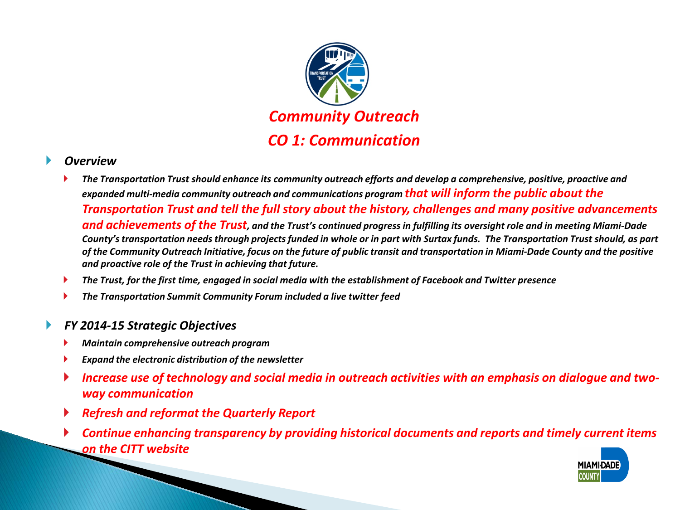

#### *Overview*

- *The Transportation Trust should enhance its community outreach efforts and develop a comprehensive, positive, proactive and expanded multi-media community outreach and communications program that will inform the public about the Transportation Trust and tell the full story about the history, challenges and many positive advancements and achievements of the Trust, and the Trust's continued progress in fulfilling its oversight role and in meeting Miami-Dade County's transportation needs through projects funded in whole or in part with Surtax funds. The Transportation Trust should, as part of the Community Outreach Initiative, focus on the future of public transit and transportation in Miami-Dade County and the positive and proactive role of the Trust in achieving that future.*
- *The Trust, for the first time, engaged in social media with the establishment of Facebook and Twitter presence*
- *The Transportation Summit Community Forum included a live twitter feed*

- *Maintain comprehensive outreach program*
- *Expand the electronic distribution of the newsletter*
- *Increase use of technology and social media in outreach activities with an emphasis on dialogue and twoway communication*
- *Refresh and reformat the Quarterly Report*
- *Continue enhancing transparency by providing historical documents and reports and timely current items on the CITT website*

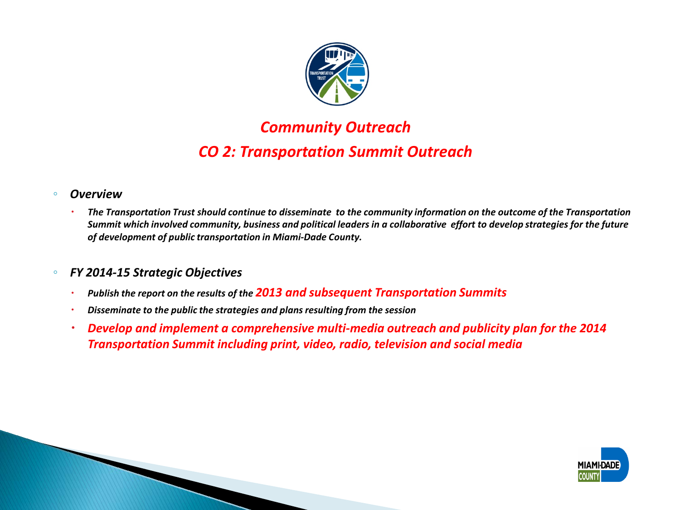

### *Community Outreach CO 2: Transportation Summit Outreach*

#### ◦ *Overview*

 *The Transportation Trust should continue to disseminate to the community information on the outcome of the Transportation Summit which involved community, business and political leaders in a collaborative effort to develop strategies for the future of development of public transportation in Miami-Dade County.*

- *Publish the report on the results of the 2013 and subsequent Transportation Summits*
- *Disseminate to the public the strategies and plans resulting from the session*
- *Develop and implement a comprehensive multi-media outreach and publicity plan for the 2014 Transportation Summit including print, video, radio, television and social media*

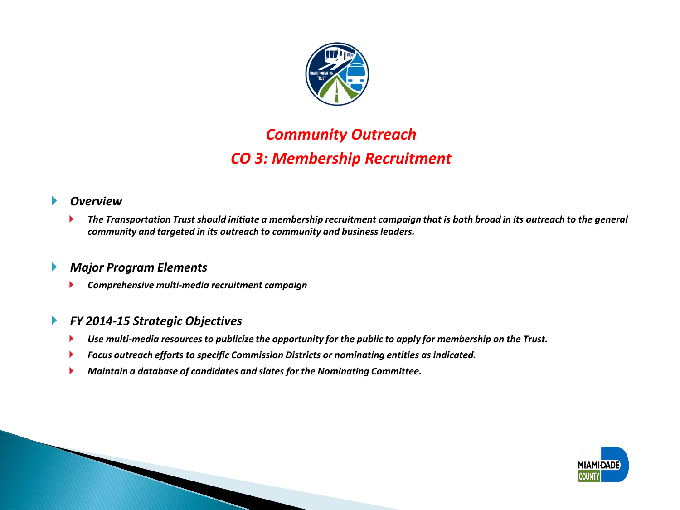

### *Community Outreach CO 3: Membership Recruitment*

#### *Overview*

 *The Transportation Trust should initiate a membership recruitment campaign that is both broad in its outreach to the general community and targeted in its outreach to community and business leaders.* 

### *Major Program Elements*

*Comprehensive multi-media recruitment campaign*

- *Use multi-media resources to publicize the opportunity for the public to apply for membership on the Trust.*
- *Focus outreach efforts to specific Commission Districts or nominating entities as indicated.*
- *Maintain a database of candidates and slates for the Nominating Committee.*

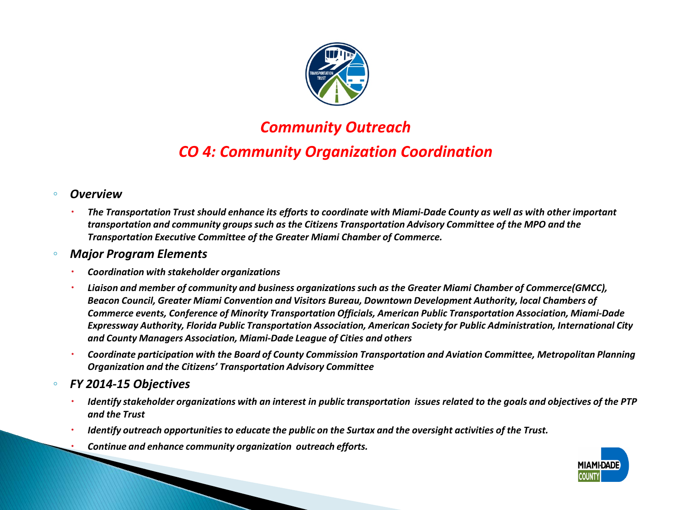

### *Community Outreach CO 4: Community Organization Coordination*

#### ◦ *Overview*

 *The Transportation Trust should enhance its efforts to coordinate with Miami-Dade County as well as with other important transportation and community groups such as the Citizens Transportation Advisory Committee of the MPO and the Transportation Executive Committee of the Greater Miami Chamber of Commerce.*

#### ◦ *Major Program Elements*

- *Coordination with stakeholder organizations*
- *Liaison and member of community and business organizations such as the Greater Miami Chamber of Commerce(GMCC), Beacon Council, Greater Miami Convention and Visitors Bureau, Downtown Development Authority, local Chambers of Commerce events, Conference of Minority Transportation Officials, American Public Transportation Association, Miami-Dade Expressway Authority, Florida Public Transportation Association, American Society for Public Administration, International City and County Managers Association, Miami-Dade League of Cities and others*
- *Coordinate participation with the Board of County Commission Transportation and Aviation Committee, Metropolitan Planning Organization and the Citizens' Transportation Advisory Committee*
- *FY 2014-15 Objectives*
	- *Identify stakeholder organizations with an interest in public transportation issues related to the goals and objectives of the PTP and the Trust*
	- *Identify outreach opportunities to educate the public on the Surtax and the oversight activities of the Trust.*
	- *Continue and enhance community organization outreach efforts.*